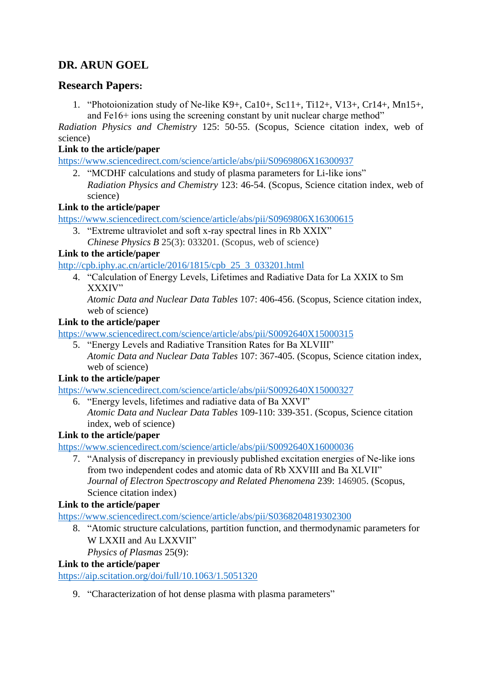# **DR. ARUN GOEL**

# **Research Papers:**

1. "Photoionization study of Ne-like K9+, Ca10+, Sc11+, Ti12+, V13+, Cr14+, Mn15+, and Fe16+ ions using the screening constant by unit nuclear charge method"

*Radiation Physics and Chemistry* 125: 50-55. (Scopus, Science citation index, web of science)

# **Link to the article/paper**

<https://www.sciencedirect.com/science/article/abs/pii/S0969806X16300937>

2. "MCDHF calculations and study of plasma parameters for Li-like ions" *Radiation Physics and Chemistry* 123: 46-54. (Scopus, Science citation index, web of science)

# **Link to the article/paper**

<https://www.sciencedirect.com/science/article/abs/pii/S0969806X16300615>

3. "Extreme ultraviolet and soft x-ray spectral lines in Rb XXIX" *Chinese Physics B* 25(3): 033201. (Scopus, web of science)

# **Link to the article/paper**

[http://cpb.iphy.ac.cn/article/2016/1815/cpb\\_25\\_3\\_033201.html](http://cpb.iphy.ac.cn/article/2016/1815/cpb_25_3_033201.html)

4. "Calculation of Energy Levels, Lifetimes and Radiative Data for La XXIX to Sm XXXIV"

*Atomic Data and Nuclear Data Tables* 107: 406-456. (Scopus, Science citation index, web of science)

# **Link to the article/paper**

<https://www.sciencedirect.com/science/article/abs/pii/S0092640X15000315>

5. "Energy Levels and Radiative Transition Rates for Ba XLVIII" *Atomic Data and Nuclear Data Tables* 107: 367-405. (Scopus, Science citation index, web of science)

# **Link to the article/paper**

<https://www.sciencedirect.com/science/article/abs/pii/S0092640X15000327>

6. "Energy levels, lifetimes and radiative data of Ba XXVI" *Atomic Data and Nuclear Data Tables* 109-110: 339-351. (Scopus, Science citation index, web of science)

# **Link to the article/paper**

<https://www.sciencedirect.com/science/article/abs/pii/S0092640X16000036>

7. "Analysis of discrepancy in previously published excitation energies of Ne-like ions from two independent codes and atomic data of Rb XXVIII and Ba XLVII" *Journal of Electron Spectroscopy and Related Phenomena* 239: 146905. (Scopus, Science citation index)

# **Link to the article/paper**

<https://www.sciencedirect.com/science/article/abs/pii/S0368204819302300>

8. "Atomic structure calculations, partition function, and thermodynamic parameters for W LXXII and Au LXXVII"

*Physics of Plasmas* 25(9):

# **Link to the article/paper**

<https://aip.scitation.org/doi/full/10.1063/1.5051320>

9. "Characterization of hot dense plasma with plasma parameters"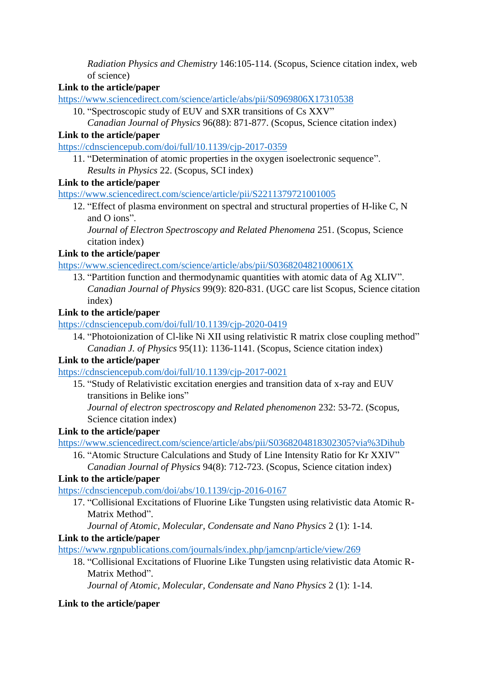*Radiation Physics and Chemistry* 146:105-114. (Scopus, Science citation index, web of science)

#### **Link to the article/paper**

<https://www.sciencedirect.com/science/article/abs/pii/S0969806X17310538>

10. "Spectroscopic study of EUV and SXR transitions of Cs XXV" *Canadian Journal of Physics* 96(88): 871-877. (Scopus, Science citation index)

#### **Link to the article/paper**

<https://cdnsciencepub.com/doi/full/10.1139/cjp-2017-0359>

11. "Determination of atomic properties in the oxygen isoelectronic sequence". *Results in Physics* 22. (Scopus, SCI index)

#### **Link to the article/paper**

<https://www.sciencedirect.com/science/article/pii/S2211379721001005>

12. "Effect of plasma environment on spectral and structural properties of H-like C, N and O ions".

*Journal of Electron Spectroscopy and Related Phenomena* 251. (Scopus, Science citation index)

#### **Link to the article/paper**

<https://www.sciencedirect.com/science/article/abs/pii/S036820482100061X>

13. "Partition function and thermodynamic quantities with atomic data of Ag XLIV". *Canadian Journal of Physics* 99(9): 820-831. (UGC care list Scopus, Science citation index)

#### **Link to the article/paper**

<https://cdnsciencepub.com/doi/full/10.1139/cjp-2020-0419>

14. "Photoionization of Cl-like Ni XII using relativistic R matrix close coupling method" *Canadian J. of Physics* 95(11): 1136-1141. (Scopus, Science citation index)

# **Link to the article/paper**

<https://cdnsciencepub.com/doi/full/10.1139/cjp-2017-0021>

15. "Study of Relativistic excitation energies and transition data of x-ray and EUV transitions in Belike ions"

*Journal of electron spectroscopy and Related phenomenon* 232: 53-72. (Scopus, Science citation index)

# **Link to the article/paper**

<https://www.sciencedirect.com/science/article/abs/pii/S0368204818302305?via%3Dihub>

16. "Atomic Structure Calculations and Study of Line Intensity Ratio for Kr XXIV" *Canadian Journal of Physics* 94(8): 712-723. (Scopus, Science citation index)

# **Link to the article/paper**

<https://cdnsciencepub.com/doi/abs/10.1139/cjp-2016-0167>

17. "Collisional Excitations of Fluorine Like Tungsten using relativistic data Atomic R-Matrix Method".

# *Journal of Atomic, Molecular, Condensate and Nano Physics* 2 (1): 1-14.

# **Link to the article/paper**

<https://www.rgnpublications.com/journals/index.php/jamcnp/article/view/269>

18. "Collisional Excitations of Fluorine Like Tungsten using relativistic data Atomic R-Matrix Method".

*Journal of Atomic, Molecular, Condensate and Nano Physics* 2 (1): 1-14.

# **Link to the article/paper**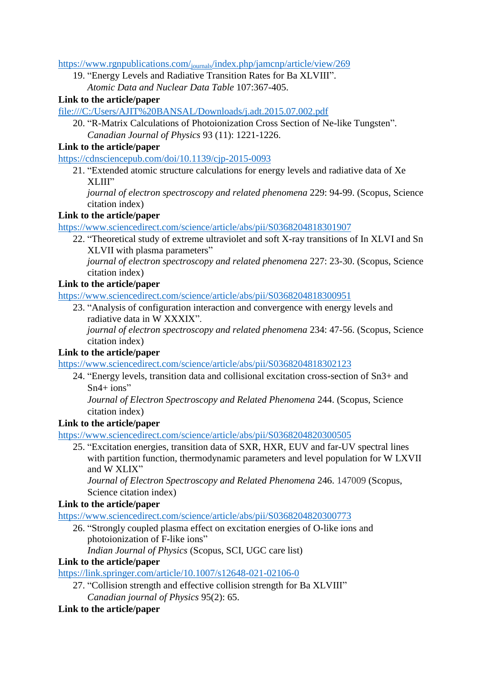https://www.rgnpublications.com/journals[/index.php/jamcnp/article/view/269](https://www.rgnpublications.com/journals/index.php/jamcnp/article/view/269)

19. "Energy Levels and Radiative Transition Rates for Ba XLVIII".

*Atomic Data and Nuclear Data Table* 107:367-405.

#### **Link to the article/paper**

<file:///C:/Users/AJIT%20BANSAL/Downloads/j.adt.2015.07.002.pdf>

20. "R-Matrix Calculations of Photoionization Cross Section of Ne-like Tungsten". *Canadian Journal of Physics* 93 (11): 1221-1226.

#### **Link to the article/paper**

<https://cdnsciencepub.com/doi/10.1139/cjp-2015-0093>

21. "Extended atomic structure calculations for energy levels and radiative data of Xe XLIII"

*journal of electron spectroscopy and related phenomena* 229: 94-99. (Scopus, Science citation index)

#### **Link to the article/paper**

<https://www.sciencedirect.com/science/article/abs/pii/S0368204818301907>

22. "Theoretical study of extreme ultraviolet and soft X-ray transitions of In XLVI and Sn XLVII with plasma parameters"

*journal of electron spectroscopy and related phenomena* 227: 23-30. (Scopus, Science citation index)

#### **Link to the article/paper**

<https://www.sciencedirect.com/science/article/abs/pii/S0368204818300951>

23. "Analysis of configuration interaction and convergence with energy levels and radiative data in W XXXIX".

*journal of electron spectroscopy and related phenomena* 234: 47-56. (Scopus, Science citation index)

#### **Link to the article/paper**

<https://www.sciencedirect.com/science/article/abs/pii/S0368204818302123>

24. "Energy levels, transition data and collisional excitation cross-section of Sn3+ and  $Sn4+ ions''$ 

*Journal of Electron Spectroscopy and Related Phenomena* 244. (Scopus, Science citation index)

# **Link to the article/paper**

<https://www.sciencedirect.com/science/article/abs/pii/S0368204820300505>

25. "Excitation energies, transition data of SXR, HXR, EUV and far-UV spectral lines with partition function, thermodynamic parameters and level population for W LXVII and W XLIX"

*Journal of Electron Spectroscopy and Related Phenomena* 246. 147009 (Scopus, Science citation index)

# **Link to the article/paper**

<https://www.sciencedirect.com/science/article/abs/pii/S0368204820300773>

26. "Strongly coupled plasma effect on excitation energies of O-like ions and photoionization of F-like ions"

*Indian Journal of Physics* (Scopus, SCI, UGC care list)

#### **Link to the article/paper**

<https://link.springer.com/article/10.1007/s12648-021-02106-0>

27. "Collision strength and effective collision strength for Ba XLVIII" *Canadian journal of Physics* 95(2): 65.

# **Link to the article/paper**